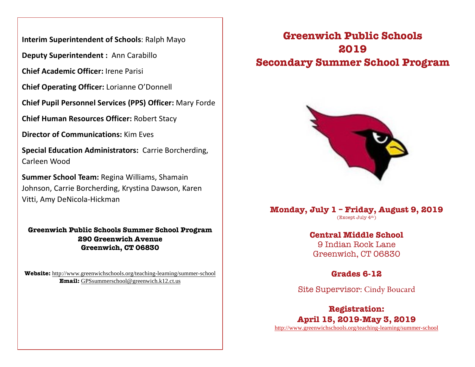**Interim Superintendent of Schools: Ralph Mayo** 

**Deputy Superintendent : Ann Carabillo** 

**Chief Academic Officer: Irene Parisi** 

**Chief Operating Officer:** Lorianne O'Donnell

**Chief Pupil Personnel Services (PPS) Officer:** Mary Forde

**Chief Human Resources Officer: Robert Stacy** 

**Director of Communications:** Kim Eves

**Special Education Administrators:** Carrie Borcherding, Carleen Wood

**Summer School Team:** Regina Williams, Shamain Johnson, Carrie Borcherding, Krystina Dawson, Karen Vitti, Amy DeNicola-Hickman

**Greenwich Public Schools Summer School Program 290 Greenwich Avenue Greenwich, CT 06830**

**Website:** http://www.greenwichschools.org/teaching-learning/summer-school **Email:** GPSsummerschool@greenwich.k12.ct.us

# **Greenwich Public Schools 2019 Secondary Summer School Program**



**Monday, July 1 – Friday, August 9, 2019** (Except July 4th)

> **Central Middle School** 9 Indian Rock Lane Greenwich, CT 06830

# **Grades 6-12**

Site Supervisor: Cindy Boucard

**Registration: April 15, 2019-May 3, 2019** http://www.greenwichschools.org/teaching-learning/summer-school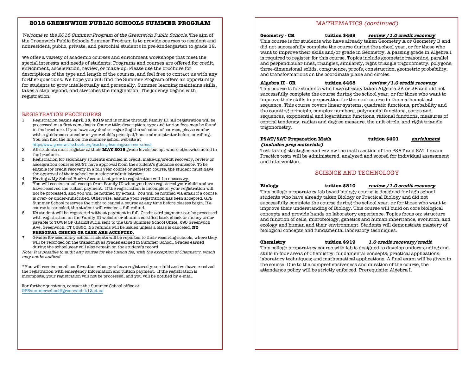## **2018 GREENWICH PUBLIC SCHOOLS SUMMER PROGRAM**

Welcome to the 2018 Summer Program of the Greenwich Public Schools. The aim of the Greenwich Public Schools Summer Program is to provide courses to resident and nonresident, public, private, and parochial students in pre-kindergarten to grade 12.

We offer a variety of academic courses and enrichment workshops that meet the special interests and needs of students. Programs and courses are offered for credit, enrichment, acceleration, review, or make-up. Please use the brochure for descriptions of the type and length of the courses, and feel free to contact us with any further questions. We hope you will find the Summer Program offers an opportunity for students to grow intellectually and personally. Summer learning maintains skills, takes a step beyond, and stretches the imagination. The journey begins with registration.

#### REGISTRATION PROCEDURES

- 1. Registration begins **April 15, 2019** and is online through Family ID. All registration will be processed on a first-come basis. Course title, description, type and tuition fees may be found in the brochure. If you have any doubts regarding the selection of courses, please confer with a guidance counselor or your child's principal/house administrator before enrolling. You can find the link on the summer school website at http://www.greenwichschools.org/teaching-learning/summer-school.
- 2. All students must register at their **MAY 2019** grade levels except where otherwise noted in the brochure.
- 3. Registration for secondary students enrolled in credit, make-up/credit recovery, review or acceleration courses MUST have approval from the student's guidance counselor. To be eligible for credit recovery in a full year course or semester course, the student must have the approval of their school counselor or administrator.
- 4. Having a My School Bucks Account set prior to registration will be necessary.<br>5. You will receive email receipt from Family ID when you have registered your
- You will receive email receipt from Family ID when you have registered your child and we have received the tuition payment. If the registration is incomplete, your registration will not be processed, and you will be notified by e-mail. You will be notified via email if a course is over- or under-subscribed. Otherwise, assume your registration has been accepted. GPS Summer School reserves the right to cancel a course at any time before classes begin. If a course is canceled, the student will receive a full refund.
- 6. No student will be registered without payment in full. Credit card payment can be processed with registration on the Family ID website or obtain a certified bank check or money order payable to TOWN OF GREENWICH sent to the GPS Summer School Office, 290 Greenwich Ave, Greenwich, CT 06830. No refunds will be issued unless a class is canceled. **NO PERSONAL CHECKS OR CASH ARE ACCEPTED.**
- 7. Grades for secondary school students will be reported to their receiving schools, where they will be recorded on the transcript as grades earned in Summer School. Grades earned during the school year will also remain on the student's record.

Note: It is possible to audit any course for the tuition fee, with the exception of Chemistry, which may not be audited

\*You will receive email confirmation when you have registered your child and we have received the registration with emergency information and tuition payment. If the registration is incomplete, your registration will not be processed, and you will be notified by e-mail.

For further questions, contact the Summer School office at: GPSsummerschool@greenwich.k12.ct.us

# MATHEMATICS (continued)

**Geometry - CR tuition \$468 review /1.0 credit recovery**

This course is for students who have already taken Geometry A or Geometry B and did not successfully complete the course during the school year, or for those who want to improve their skills and/or grade in Geometry. A passing grade in Algebra I is required to register for this course. Topics include geometric reasoning, parallel and perpendicular lines, triangles, similarity, right triangle trigonometry, polygons, three-dimensional solids, congruence, proofs, construction, geometric probability, and transformations on the coordinate plane and circles.

**Algebra II** - **CR tuition \$468 review /1.0 credit recovery**

This course is for students who have already taken Algebra 2A or 2B and did not successfully complete the course during the school year, or for those who want to improve their skills in preparation for the next course in the mathematical sequence. This course covers linear systems, quadratic functions, probability and the counting principle, complex numbers, polynomial functions, series and sequences, exponential and logarithmic functions, rational functions, measures of central tendency, radian and degree measure, the unit circle, and right triangle trigonometry.

#### **PSAT/SAT Preparation Math tuition \$401 enrichment (includes prep materials)**

Test-taking strategies and review the math section of the PSAT and SAT I exam. Practice tests will be administered, analyzed and scored for individual assessment and intervention.

### SCIENCE AND TECHNOLOGY

**Biology tuition \$810 review /1.0 credit recovery**

This college preparatory-lab based biology course is designed for high school students who have already taken Biology or Practical Biology and did not successfully complete the course during the school year, or for those who want to improve their understanding of Biology. This course will build on core biological concepts and provide hands on laboratory experience. Topics focus on: structure and function of cells, microbiology, genetics and human inheritance, evolution, and ecology and human and their environment. Students will demonstrate mastery of biological concepts and fundamental laboratory techniques.

**Chemistry tuition \$919 1.0 credit recovery/credit**

This college preparatory course with lab is designed to develop understanding and skills in four areas of Chemistry: fundamental concepts; practical applications; laboratory techniques; and mathematical applications. A final exam will be given in the course. Due to the comprehensiveness and duration of the course, the attendance policy will be strictly enforced. Prerequisite: Algebra I.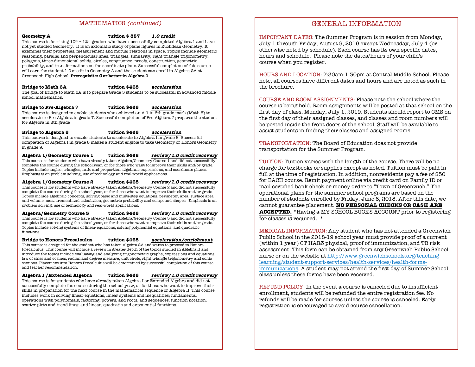## MATHEMATICS (continued)

#### **Geometry A tuition \$ 857 1.0 credit**

This course is for rising  $10<sup>th</sup> - 12<sup>th</sup>$  graders who have successfully completed Algebra 1 and have not yet studied Geometry. It is an axiomatic study of plane figures in Euclidean Geometry. It examines their properties, measurement and mutual relations in space. Topics include geometric reasoning, parallel and perpendicular lines, triangles, similarity, right triangle trigonometry, polygons, three-dimensional solids, circles, congruence, proofs, construction, geometric probability, and transformations on the coordinate plane. Successful completion of this course will earn the student 1.0 credit in Geometry A and the student can enroll in Algebra 2A at Greenwich High School. **Prerequisite: C or better in Algebra 1**.

#### **Bridge to Math 6A tuition \$468 acceleration**

The goal of Bridge to Math 6A is to prepare Grade 5 students to be successful in advanced middle school mathematics.

**Bridge to Pre-Algebra 7 tuition \$468 acceleration** This course is designed to enable students who achieved an A-1 in 6th grade math (Math 6) to accelerate to Pre-Algebra in grade 7. Successful completion of Pre-Algebra 7 prepares the student for Algebra in 8th grade

**Bridge to Algebra 8 tuition \$468 acceleration** This course is designed to enable students to accelerate to Algebra I in grade 8. Successful completion of Algebra I in grade 8 makes a student eligible to take Geometry or Honors Geometry in grade 9.

**Algebra 1/Geometry Course 1 tuition \$468 review/1.0 credit recovery** This course is for students who have already taken Algebra/Geometry Course 1 and did not successfully complete the course during the school year, or for those who want to improve their skills and/or grade. Topics include angles, triangles, ratio and proportion, algebraic expressions, and coordinate planes. Emphasis is on problem solving, use of technology and real-world applications.

**Algebra 1/Geometry Course 2 tuition \$468 review/1.0 credit recovery** This course is for students who have already taken Algebra/Geometry Course 2 and did not successfully complete the course during the school year, or for those who want to improve their skills and/or grade. Topics include algebraic concepts, solving basic and multi-step equations, perimeter, area, surface area and volume, measurement and calculation, geometric probability and compound shapes. Emphasis is on problem solving, use of technology and real-world applications.

**Algebra/Geometry Course 3 tuition \$468 review/1.0 credit recovery** This course is for students who have already taken Algebra/Geometry Course 3 and did not successfully complete the course during the school year, or for those who want to improve their skills and/or grade. Topics include solving systems of linear equations, solving polynomial equations, and quadratic functions.

#### **Bridge to Honors Precalculus tuition \$468 acceleration/enrichment** This course is designed for the student who has taken Algebra 2A and wants to proceed to Honors Precalculus. This course will include a review in greater depth of the topics studied in Algebra II and

introduce the topics include evaluating and analyzing trigonometric graphs, expressions and equations, law of sines and cosines, radian and degree measure, unit circle, right triangle trigonometry and conic sections. Placement into Honors Precalculus will be determined by successful completion of this course and teacher recommendation.

#### **Algebra I /Extended Algebra tuition \$468 review/1.0 credit recovery**

This course is for students who have already taken Algebra I or Extended Algebra and did not successfully complete the course during the school year, or for those who want to improve their skills in preparation for the next course in the mathematical sequence or Algebra II. This course includes work in solving linear equations, linear systems and inequalities; fundamental operations with polynomials, factoring, powers, and roots; and sequences; function notation; scatter plots and trend lines; and linear, quadratic and exponential functions.

# GENERAL INFORMATION

IMPORTANT DATES: The Summer Program is in session from Monday, July 1 through Friday, August 9, 2019 except Wednesday, July 4 (or otherwise noted by schedule). Each course has its own specific dates, hours and schedule. Please note the dates/hours of your child's course when you register.

HOURS AND LOCATION: 7:30am-1:30pm at Central Middle School. Please note, all courses have different dates and hours and are noted as such in the brochure.

COURSE AND ROOM ASSIGNMENTS: Please note the school where the course is being held. Room assignments will be posted at that school on the first day of class, Monday, July 1, 2019. Students should report to CMS on the first day of their assigned classes, and classes and room numbers will be posted inside the front doors of the school. Staff will be available to assist students in finding their classes and assigned rooms.

TRANSPORTATION: The Board of Education does not provide transportation for the Summer Program.

TUITION: Tuition varies with the length of the course. There will be no charge for textbooks or supplies except as noted. Tuition must be paid in full at the time of registration. In addition, nonresidents pay a fee of \$50 for EACH course. Remit payment online via credit card on Family ID or mail certified bank check or money order to "Town of Greenwich." The operational plans for the summer school programs are based on the number of students enrolled by Friday, June 8, 2018. After this date, we cannot guarantee placement. **NO PERSONAL CHECKS OR CASH ARE ACCEPTED.** \*Having a MY SCHOOL BUCKS ACCOUNT prior to registering for classes is required. \*

MEDICAL INFORMATION: Any student who has not attended a Greenwich Public School in the 2018-19 school year must provide proof of a current (within 1 year) CT HAR3 physical, proof of immunization, and TB risk assessment. This form can be obtained from any Greenwich Public School nurse or on the website at http://www.greenwichschools.org/teachinglearning/student-support-services/health-services/health-formsimmunizations. A student may not attend the first day of Summer School class unless these forms have been received.

REFUND POLICY: In the event a course is canceled due to insufficient enrollment, students will be refunded the entire registration fee. No refunds will be made for courses unless the course is canceled. Early registration is encouraged to avoid course cancellation.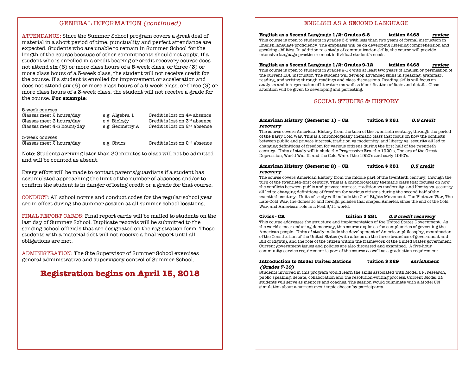# GENERAL INFORMATION (continued)

ATTENDANCE: Since the Summer School program covers a great deal of material in a short period of time, punctuality and perfect attendance are expected. Students who are unable to remain in Summer School for the length of the course because of other commitments should not apply. If a student who is enrolled in a credit-bearing or credit recovery course does not attend six (6) or more class hours of a 5-week class, or three (3) or more class hours of a 3-week class, the student will not receive credit for the course. If a student is enrolled for improvement or acceleration and does not attend six (6) or more class hours of a 5-week class, or three (3) or more class hours of a 3-week class, the student will not receive a grade for the course. **For example**:

#### 5-week courses

| Classes meet 2 hours/day   | e.g. Algebra 1  | Credit is lost on $4th$ absence |
|----------------------------|-----------------|---------------------------------|
| Classes meet 3 hours/day   | e.g. Biology    | Credit is lost on 3rd absence   |
| Classes meet 4-5 hours/day | e.g. Geometry A | Credit is lost on $2nd$ absence |
| $\sigma$ -real-equation    |                 |                                 |

3-week courses

Classes meet 2 hours/day e.g. Civics Credit is lost on 2nd absence

Note: Students arriving later than 30 minutes to class will not be admitted and will be counted as absent.

Every effort will be made to contact parents/guardians if a student has accumulated approaching the limit of the number of absences and/or to confirm the student is in danger of losing credit or a grade for that course.

CONDUCT: All school norms and conduct codes for the regular school year are in effect during the summer session at all summer school locations.

FINAL REPORT CARDS: Final report cards will be mailed to students on the last day of Summer School. Duplicate records will be submitted to the sending school officials that are designated on the registration form. Those students with a material debt will not receive a final report until all obligations are met.

ADMINISTRATION: The Site Supervisor of Summer School exercises general administrative and supervisory control of Summer School.

# **Registration begins on April 15, 2018**

# ENGLISH AS A SECOND LANGUAGE

### **English as a Second Language 1/2: Grades 6-8 tuition \$468 review**

This course is open to students in grades 6-8 with less than two years of formal instruction in English language proficiency. The emphasis will be on developing listening comprehension and speaking abilities. In addition to a study of communication skills, the course will provide intensive language practice to meet individual student's needs.

## **English as a Second Language 1/2: Grades 9-12 tuition \$468 review**

This course is open to students in grades 9-12 with at least two years of English or permission of the current ESL instructor. The student will develop advanced skills in speaking, grammar, reading, and writing through readings and class discussions. Reading skills will focus on analysis and interpretation of literature as well as identification of facts and details. Close attention will be given to developing and perfecting.

# SOCIAL STUDIES & HISTORY

#### **American History (Semester 1) – CR tuition \$ 281 0.5 credit recovery**

The course covers American History from the turn of the twentieth century, through the period of the Early Cold War. This is a chronologically thematic class that focus on how the conflicts between public and private interest, tradition vs modernity, and liberty vs. security all led to changing definitions of freedom for various citizens during the first half of the twentieth century. Units of study will include the Progressive Era, the 1920's, The era of the Great Depression, World War II, and the Cold War of the 1950's and early 1960's.

#### **American History (Semester 2) – CR tuition \$ 281 0.5 credit recovery**

The course covers American History from the middle part of the twentieth century, through the turn of the twentieth-first century. This is a chronologically thematic class that focuses on how the conflicts between public and private interest, tradition vs modernity, and liberty vs. security all led to changing definitions of freedom for various citizens during the second half of the twentieth century. Units of study will include the Civil Rights Movement, The Vietnam War, The Late-Cold War, the domestic and foreign policies that shaped America since the end of the Cold War, and America's role in a Post 9/11 world.

#### **Civics - CR tuition \$ 281 0.5 credit recovery** This course addresses the structure and implementation of the United States Government. As the world's most enduring democracy, this course explores the complexities of governing the American people. Units of study include the development of American philosophy, examination of the Constitution of the United States (with a focus on the three branches of government and Bill of Rights), and the role of the citizen within the framework of the United States government. Current government issues and policies are also discussed and examined. A five-hour community service requirement is part of the course as well as a graduation requirement.

#### **Introduction to Model United Nations tuition \$ 229 enrichment (Grades 7-10)**

Students involved in this program would learn the skills associated with Model UN: research, public speaking, debate, collaboration and the resolution-writing process. Current Model UN students will serve as mentors and coaches. The session would culminate with a Model UN simulation about a current event topic chosen by participants.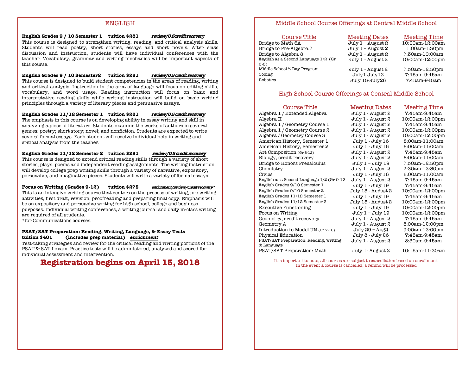## ENGLISH

# **English Grades 9 / 10 Semester 1 tuition \$281 review/0.5credit recovery**

This course is designed to strengthen writing, reading, and critical analysis skills. Students will read poetry, short stories, essays and short novels. After class discussion and instruction, students will have individual conferences with the teacher. Vocabulary, grammar and writing mechanics will be important aspects of this course.

### **English Grades 9 / 10 Semester2 tuition \$281 review/0.5credit recovery**

This course is designed to build student competencies in the areas of reading, writing and critical analysis. Instruction in the area of language will focus on editing skills, vocabulary, and word usage. Reading instruction will focus on basic and interpretative reading skills while writing instruction will build on basic writing principles through a variety of literary pieces and persuasive essays.

### **English Grades 11/12 Semester 1 tuition \$281 review/0.5credit recovery**

The emphasis in this course is on developing ability in essay writing and skill in analyzing a piece of literature. Students examine the works of authors in several genres: poetry; short story; novel; and nonfiction. Students are expected to write several formal essays. Each student will receive individual help in writing and critical analysis from the teacher.

### **English Grades 11/12 Semester 2 tuition \$281 review/0.5credit recovery**

This course is designed to extend critical reading skills through a variety of short stories, plays, poems and independent reading assignments. The writing instruction will develop college prep writing skills through a variety of narrative, expository, persuasive, and imaginative pieces. Students will write a variety of formal essays.

#### **Focus on Writing (Grades 9-12) tuition \$275 enrichment/review/credit recovery\***

This is an intensive writing course that centers on the process of writing, pre-writing activities, first draft, revision, proofreading and preparing final copy. Emphasis will be on expository and persuasive writing for high school, college and business purposes. Individual writing conferences, a writing journal and daily in-class writing are required of all students.

\*for Communications courses.

#### **PSAT/SAT Preparation: Reading, Writing, Language, & Essay Tests tuition \$401 (includes prep material) enrichment**

Test-taking strategies and review for the critical reading and writing portions of the PSAT & SAT I exam. Practice tests will be administered, analyzed and scored for individual assessment and intervention.

# **Registration begins on April 15, 2018**

## Middle School Course Offerings at Central Middle School

| Course Title<br>Bridge to Math 6A             | Meeting Dates<br>$July 1 - August 2$ | Meeting Time<br>10:00am-12:00am |
|-----------------------------------------------|--------------------------------------|---------------------------------|
| Bridge to Pre-Algebra 7                       | $July 1 - August 2$                  | 11:00am-1:30pm                  |
| Bridge to Algebra 8                           | $July 1 - August 2$                  | 7:30am-10:00am                  |
| English as a Second Language 1/2 (Gr<br>$6-8$ | July 1 - August 2                    | 10:00am-12:00pm                 |
| Middle School 1/2 Day Program                 | $July 1 - August 2$                  | 7:30am-12:30pm                  |
| Coding                                        | Julyl-Julyl2                         | 7:45am-9:45am                   |
| Robotics                                      | July 15-July26                       | 7:45am-945am                    |

# High School Course Offerings at Central Middle School

| Course Title                              | Meeting Dates      | <b>Meeting Time</b>  |
|-------------------------------------------|--------------------|----------------------|
| Algebra 1 / Extended Algebra              | July 1 - August 2  | $7:45$ am-9:45am     |
| Algebra II                                | July 1 - August 2  | 10:00am-12:00pm      |
| Algebra 1 / Geometry Course 1             | July 1 - August 2  | 7:45am-9:45am        |
| Algebra 1 / Geometry Course 2             | July 1 - August 2  | 10:00am-12:00pm      |
| Algebra / Geometry Course 3               | July 1 - August 2  | 10:00am-12:00pm      |
| American History, Semester 1              | July 1 - July 16   | 8:00am-11:00am       |
| American History, Semester 2              | July 1 - July 16   | 8:00am-11:00am       |
| Art Composition (Gr 8-12)                 | July 1 - August 2  | 7:45am-9:45am        |
| Biology, credit recovery                  | July 1 - August 2  | 8:00am-11:00am       |
| <b>Bridge to Honors Precalculus</b>       | July 1 - July 19   | 7:30am-12:30pm       |
| Chemistry                                 | July 1 - August 2  | 7:30am-12:30pm       |
| Civics                                    | July 1 - July 16   | 8:00am-11:00am       |
| English as a Second Language 1/2 (Gr 9-12 | July 1 - August 2  | 7:45am-9:45am        |
| English Grades 9/10 Semester 1            | July 1 - July 19   | 7:45am-9:45am        |
| English Grades 9/10 Semester 2            | July 15 - August 2 | 10:00am-12:00pm      |
| English Grades 11/12 Semester 1           | July 1 - July 19   | 7:45am-9:45am        |
| English Grades 11/12 Semester 2           | July 15 - August 2 | 10:00am-12:00pm      |
| <b>Executive Functioning</b>              | July 1 - July 19   | 10:00am-12:00pm      |
| Focus on Writing                          | July 1 - July 19   | 10:00am-12:00pm      |
| Geometry, credit recovery                 | July 1 - August 2  | $7:45$ am-9:45am     |
| Geometry A                                | July 1 - August 2  | 8:00am-12:00pm       |
| Introduction to Model UN (Gr 7-10)        | $July 29 - Aug2$   | $9:00am-12:00pm$     |
| Physical Education                        | July 8 - July 26   | $7:45$ am- $9:45$ am |
| PSAT/SAT Preparation: Reading, Writing    | July 1 - August 2  | 8:30am-9:45am        |
| & Language<br>PSAT/SAT Preparation: Math  | July 1- August 2   | 10:15am-11:30am      |

It is important to note, all courses are subject to cancellation based on enrollment. In the event a course is cancelled, a refund will be processed